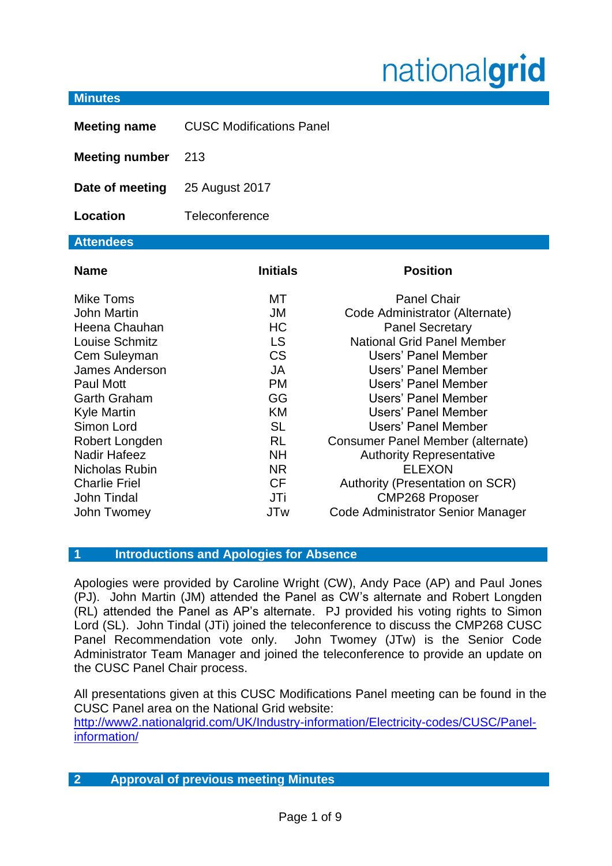# nationalgrid

#### **Minutes**

| <b>Meeting name</b>   | <b>CUSC Modifications Panel</b> |
|-----------------------|---------------------------------|
| <b>Meeting number</b> | 213                             |
| Date of meeting       | 25 August 2017                  |
| Location              | Teleconference                  |
| <b>Attendees</b>      |                                 |

| <b>Name</b>           | <b>Initials</b> | <b>Position</b>                   |
|-----------------------|-----------------|-----------------------------------|
| Mike Toms             | МT              | <b>Panel Chair</b>                |
| <b>John Martin</b>    | JM              | Code Administrator (Alternate)    |
| Heena Chauhan         | <b>HC</b>       | <b>Panel Secretary</b>            |
| Louise Schmitz        | <b>LS</b>       | <b>National Grid Panel Member</b> |
| Cem Suleyman          | <b>CS</b>       | Users' Panel Member               |
| <b>James Anderson</b> | <b>JA</b>       | Users' Panel Member               |
| Paul Mott             | <b>PM</b>       | Users' Panel Member               |
| <b>Garth Graham</b>   | GG              | Users' Panel Member               |
| <b>Kyle Martin</b>    | KM              | Users' Panel Member               |
| Simon Lord            | <b>SL</b>       | Users' Panel Member               |
| Robert Longden        | <b>RL</b>       | Consumer Panel Member (alternate) |
| <b>Nadir Hafeez</b>   | <b>NH</b>       | <b>Authority Representative</b>   |
| <b>Nicholas Rubin</b> | <b>NR</b>       | <b>ELEXON</b>                     |
| <b>Charlie Friel</b>  | <b>CF</b>       | Authority (Presentation on SCR)   |
| <b>John Tindal</b>    | JTi             | <b>CMP268 Proposer</b>            |
| John Twomey           | <b>JTw</b>      | Code Administrator Senior Manager |

# **1 Introductions and Apologies for Absence**

Apologies were provided by Caroline Wright (CW), Andy Pace (AP) and Paul Jones (PJ). John Martin (JM) attended the Panel as CW's alternate and Robert Longden (RL) attended the Panel as AP's alternate. PJ provided his voting rights to Simon Lord (SL). John Tindal (JTi) joined the teleconference to discuss the CMP268 CUSC Panel Recommendation vote only. John Twomey (JTw) is the Senior Code Administrator Team Manager and joined the teleconference to provide an update on the CUSC Panel Chair process.

All presentations given at this CUSC Modifications Panel meeting can be found in the CUSC Panel area on the National Grid website:

[http://www2.nationalgrid.com/UK/Industry-information/Electricity-codes/CUSC/Panel](http://www2.nationalgrid.com/UK/Industry-information/Electricity-codes/CUSC/Panel-information/)[information/](http://www2.nationalgrid.com/UK/Industry-information/Electricity-codes/CUSC/Panel-information/)

# **2 Approval of previous meeting Minutes**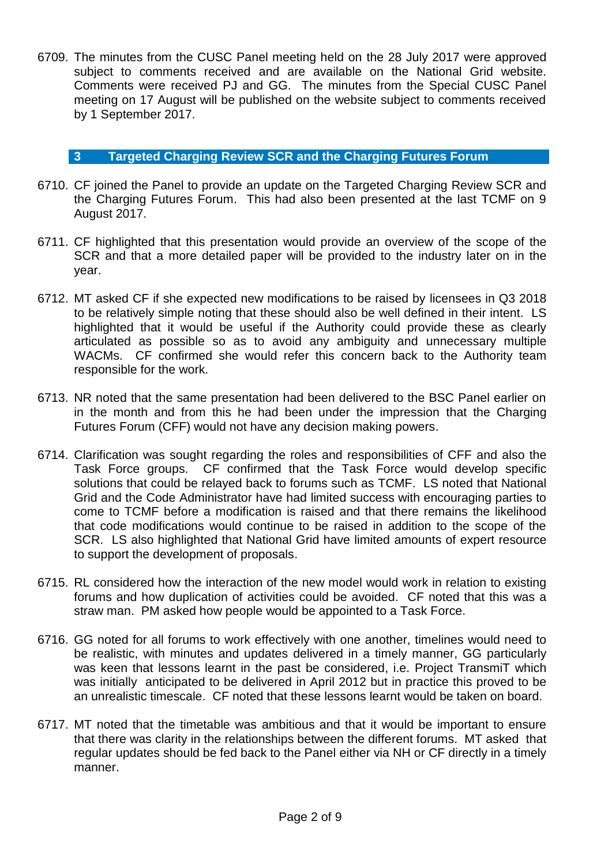6709. The minutes from the CUSC Panel meeting held on the 28 July 2017 were approved subject to comments received and are available on the National Grid website. Comments were received PJ and GG. The minutes from the Special CUSC Panel meeting on 17 August will be published on the website subject to comments received by 1 September 2017.

### **3 Targeted Charging Review SCR and the Charging Futures Forum**

- 6710. CF joined the Panel to provide an update on the Targeted Charging Review SCR and the Charging Futures Forum. This had also been presented at the last TCMF on 9 August 2017.
- 6711. CF highlighted that this presentation would provide an overview of the scope of the SCR and that a more detailed paper will be provided to the industry later on in the year.
- 6712. MT asked CF if she expected new modifications to be raised by licensees in Q3 2018 to be relatively simple noting that these should also be well defined in their intent. LS highlighted that it would be useful if the Authority could provide these as clearly articulated as possible so as to avoid any ambiguity and unnecessary multiple WACMs. CF confirmed she would refer this concern back to the Authority team responsible for the work.
- 6713. NR noted that the same presentation had been delivered to the BSC Panel earlier on in the month and from this he had been under the impression that the Charging Futures Forum (CFF) would not have any decision making powers.
- 6714. Clarification was sought regarding the roles and responsibilities of CFF and also the Task Force groups. CF confirmed that the Task Force would develop specific solutions that could be relayed back to forums such as TCMF. LS noted that National Grid and the Code Administrator have had limited success with encouraging parties to come to TCMF before a modification is raised and that there remains the likelihood that code modifications would continue to be raised in addition to the scope of the SCR. LS also highlighted that National Grid have limited amounts of expert resource to support the development of proposals.
- 6715. RL considered how the interaction of the new model would work in relation to existing forums and how duplication of activities could be avoided. CF noted that this was a straw man. PM asked how people would be appointed to a Task Force.
- 6716. GG noted for all forums to work effectively with one another, timelines would need to be realistic, with minutes and updates delivered in a timely manner, GG particularly was keen that lessons learnt in the past be considered, i.e. Project TransmiT which was initially anticipated to be delivered in April 2012 but in practice this proved to be an unrealistic timescale. CF noted that these lessons learnt would be taken on board.
- 6717. MT noted that the timetable was ambitious and that it would be important to ensure that there was clarity in the relationships between the different forums. MT asked that regular updates should be fed back to the Panel either via NH or CF directly in a timely manner.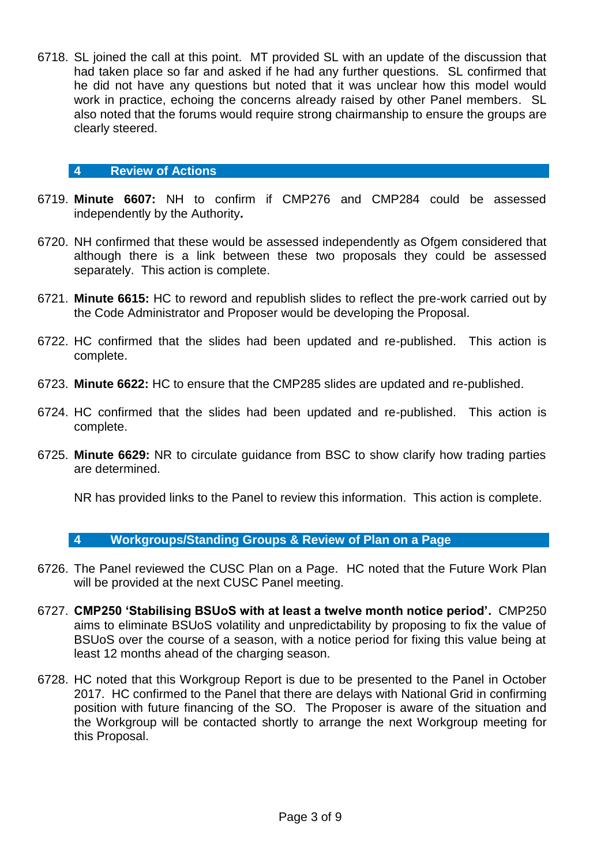6718. SL joined the call at this point. MT provided SL with an update of the discussion that had taken place so far and asked if he had any further questions. SL confirmed that he did not have any questions but noted that it was unclear how this model would work in practice, echoing the concerns already raised by other Panel members. SL also noted that the forums would require strong chairmanship to ensure the groups are clearly steered.

### **4 Review of Actions**

- 6719. **Minute 6607:** NH to confirm if CMP276 and CMP284 could be assessed independently by the Authority**.**
- 6720. NH confirmed that these would be assessed independently as Ofgem considered that although there is a link between these two proposals they could be assessed separately. This action is complete.
- 6721. **Minute 6615:** HC to reword and republish slides to reflect the pre-work carried out by the Code Administrator and Proposer would be developing the Proposal.
- 6722. HC confirmed that the slides had been updated and re-published. This action is complete.
- 6723. **Minute 6622:** HC to ensure that the CMP285 slides are updated and re-published.
- 6724. HC confirmed that the slides had been updated and re-published. This action is complete.
- 6725. **Minute 6629:** NR to circulate guidance from BSC to show clarify how trading parties are determined.

NR has provided links to the Panel to review this information. This action is complete.

#### **4 Workgroups/Standing Groups & Review of Plan on a Page**

- 6726. The Panel reviewed the CUSC Plan on a Page. HC noted that the Future Work Plan will be provided at the next CUSC Panel meeting.
- 6727. **CMP250 'Stabilising BSUoS with at least a twelve month notice period'.** CMP250 aims to eliminate BSUoS volatility and unpredictability by proposing to fix the value of BSUoS over the course of a season, with a notice period for fixing this value being at least 12 months ahead of the charging season.
- 6728. HC noted that this Workgroup Report is due to be presented to the Panel in October 2017. HC confirmed to the Panel that there are delays with National Grid in confirming position with future financing of the SO. The Proposer is aware of the situation and the Workgroup will be contacted shortly to arrange the next Workgroup meeting for this Proposal.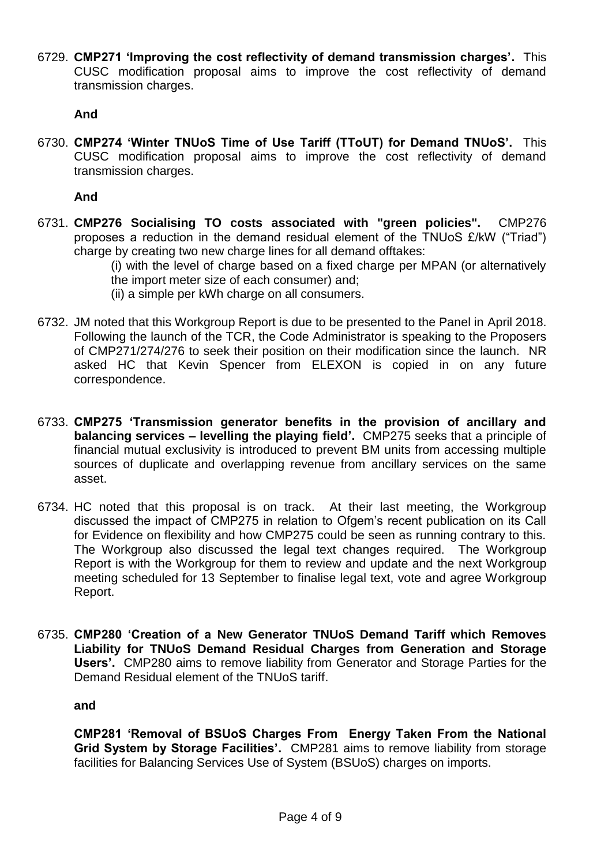6729. **CMP271 'Improving the cost reflectivity of demand transmission charges'.** This CUSC modification proposal aims to improve the cost reflectivity of demand transmission charges.

# **And**

6730. **CMP274 'Winter TNUoS Time of Use Tariff (TToUT) for Demand TNUoS'.** This CUSC modification proposal aims to improve the cost reflectivity of demand transmission charges.

**And**

6731. **CMP276 Socialising TO costs associated with "green policies".** CMP276 proposes a reduction in the demand residual element of the TNUoS £/kW ("Triad") charge by creating two new charge lines for all demand offtakes:

(i) with the level of charge based on a fixed charge per MPAN (or alternatively the import meter size of each consumer) and;

- (ii) a simple per kWh charge on all consumers.
- 6732. JM noted that this Workgroup Report is due to be presented to the Panel in April 2018. Following the launch of the TCR, the Code Administrator is speaking to the Proposers of CMP271/274/276 to seek their position on their modification since the launch. NR asked HC that Kevin Spencer from ELEXON is copied in on any future correspondence.
- 6733. **CMP275 'Transmission generator benefits in the provision of ancillary and balancing services – levelling the playing field'.** CMP275 seeks that a principle of financial mutual exclusivity is introduced to prevent BM units from accessing multiple sources of duplicate and overlapping revenue from ancillary services on the same asset.
- 6734. HC noted that this proposal is on track. At their last meeting, the Workgroup discussed the impact of CMP275 in relation to Ofgem's recent publication on its Call for Evidence on flexibility and how CMP275 could be seen as running contrary to this. The Workgroup also discussed the legal text changes required. The Workgroup Report is with the Workgroup for them to review and update and the next Workgroup meeting scheduled for 13 September to finalise legal text, vote and agree Workgroup Report.
- 6735. **CMP280 'Creation of a New Generator TNUoS Demand Tariff which Removes Liability for TNUoS Demand Residual Charges from Generation and Storage Users'.** CMP280 aims to remove liability from Generator and Storage Parties for the Demand Residual element of the TNUoS tariff.

**and**

**CMP281 'Removal of BSUoS Charges From Energy Taken From the National Grid System by Storage Facilities'.** CMP281 aims to remove liability from storage facilities for Balancing Services Use of System (BSUoS) charges on imports.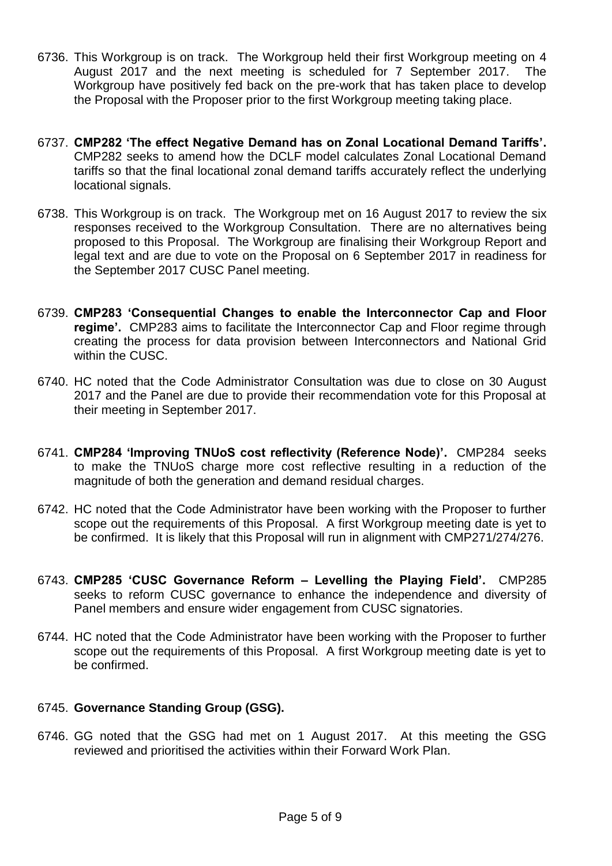- 6736. This Workgroup is on track. The Workgroup held their first Workgroup meeting on 4 August 2017 and the next meeting is scheduled for 7 September 2017. The Workgroup have positively fed back on the pre-work that has taken place to develop the Proposal with the Proposer prior to the first Workgroup meeting taking place.
- 6737. **CMP282 'The effect Negative Demand has on Zonal Locational Demand Tariffs'.** CMP282 seeks to amend how the DCLF model calculates Zonal Locational Demand tariffs so that the final locational zonal demand tariffs accurately reflect the underlying locational signals.
- 6738. This Workgroup is on track. The Workgroup met on 16 August 2017 to review the six responses received to the Workgroup Consultation. There are no alternatives being proposed to this Proposal. The Workgroup are finalising their Workgroup Report and legal text and are due to vote on the Proposal on 6 September 2017 in readiness for the September 2017 CUSC Panel meeting.
- 6739. **CMP283 'Consequential Changes to enable the Interconnector Cap and Floor regime'.** CMP283 aims to facilitate the Interconnector Cap and Floor regime through creating the process for data provision between Interconnectors and National Grid within the CUSC.
- 6740. HC noted that the Code Administrator Consultation was due to close on 30 August 2017 and the Panel are due to provide their recommendation vote for this Proposal at their meeting in September 2017.
- 6741. **CMP284 'Improving TNUoS cost reflectivity (Reference Node)'.** CMP284 seeks to make the TNUoS charge more cost reflective resulting in a reduction of the magnitude of both the generation and demand residual charges.
- 6742. HC noted that the Code Administrator have been working with the Proposer to further scope out the requirements of this Proposal. A first Workgroup meeting date is yet to be confirmed. It is likely that this Proposal will run in alignment with CMP271/274/276.
- 6743. **CMP285 'CUSC Governance Reform – Levelling the Playing Field'.** CMP285 seeks to reform CUSC governance to enhance the independence and diversity of Panel members and ensure wider engagement from CUSC signatories.
- 6744. HC noted that the Code Administrator have been working with the Proposer to further scope out the requirements of this Proposal. A first Workgroup meeting date is yet to be confirmed.

# 6745. **Governance Standing Group (GSG).**

6746. GG noted that the GSG had met on 1 August 2017. At this meeting the GSG reviewed and prioritised the activities within their Forward Work Plan.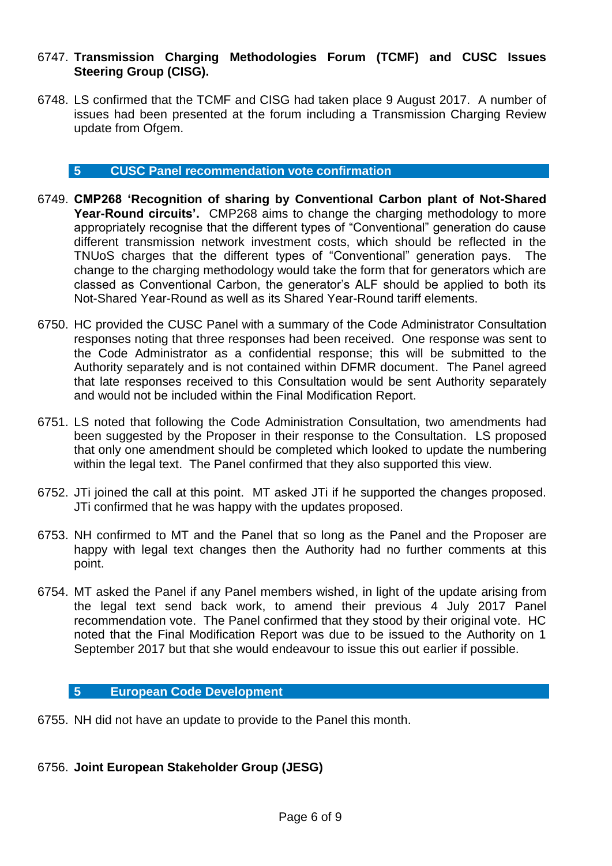# 6747. **Transmission Charging Methodologies Forum (TCMF) and CUSC Issues Steering Group (CISG).**

6748. LS confirmed that the TCMF and CISG had taken place 9 August 2017. A number of issues had been presented at the forum including a Transmission Charging Review update from Ofgem.

# **5 CUSC Panel recommendation vote confirmation**

- 6749. **CMP268 'Recognition of sharing by Conventional Carbon plant of Not-Shared Year-Round circuits'.** CMP268 aims to change the charging methodology to more appropriately recognise that the different types of "Conventional" generation do cause different transmission network investment costs, which should be reflected in the TNUoS charges that the different types of "Conventional" generation pays. The change to the charging methodology would take the form that for generators which are classed as Conventional Carbon, the generator's ALF should be applied to both its Not-Shared Year-Round as well as its Shared Year-Round tariff elements.
- 6750. HC provided the CUSC Panel with a summary of the Code Administrator Consultation responses noting that three responses had been received. One response was sent to the Code Administrator as a confidential response; this will be submitted to the Authority separately and is not contained within DFMR document. The Panel agreed that late responses received to this Consultation would be sent Authority separately and would not be included within the Final Modification Report.
- 6751. LS noted that following the Code Administration Consultation, two amendments had been suggested by the Proposer in their response to the Consultation. LS proposed that only one amendment should be completed which looked to update the numbering within the legal text. The Panel confirmed that they also supported this view.
- 6752. JTi joined the call at this point. MT asked JTi if he supported the changes proposed. JTi confirmed that he was happy with the updates proposed.
- 6753. NH confirmed to MT and the Panel that so long as the Panel and the Proposer are happy with legal text changes then the Authority had no further comments at this point.
- 6754. MT asked the Panel if any Panel members wished, in light of the update arising from the legal text send back work, to amend their previous 4 July 2017 Panel recommendation vote. The Panel confirmed that they stood by their original vote. HC noted that the Final Modification Report was due to be issued to the Authority on 1 September 2017 but that she would endeavour to issue this out earlier if possible.

#### **5 European Code Development**

6755. NH did not have an update to provide to the Panel this month.

# 6756. **Joint European Stakeholder Group (JESG)**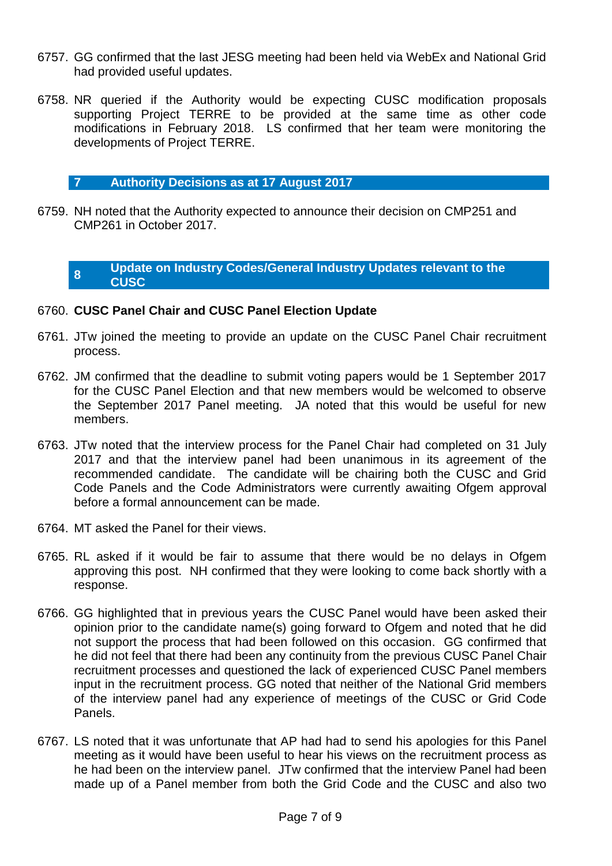- 6757. GG confirmed that the last JESG meeting had been held via WebEx and National Grid had provided useful updates.
- 6758. NR queried if the Authority would be expecting CUSC modification proposals supporting Project TERRE to be provided at the same time as other code modifications in February 2018. LS confirmed that her team were monitoring the developments of Project TERRE.

# **7 Authority Decisions as at 17 August 2017**

6759. NH noted that the Authority expected to announce their decision on CMP251 and CMP261 in October 2017.

#### **8 Update on Industry Codes/General Industry Updates relevant to the CUSC**

# 6760. **CUSC Panel Chair and CUSC Panel Election Update**

- 6761. JTw joined the meeting to provide an update on the CUSC Panel Chair recruitment process.
- 6762. JM confirmed that the deadline to submit voting papers would be 1 September 2017 for the CUSC Panel Election and that new members would be welcomed to observe the September 2017 Panel meeting. JA noted that this would be useful for new members.
- 6763. JTw noted that the interview process for the Panel Chair had completed on 31 July 2017 and that the interview panel had been unanimous in its agreement of the recommended candidate. The candidate will be chairing both the CUSC and Grid Code Panels and the Code Administrators were currently awaiting Ofgem approval before a formal announcement can be made.
- 6764. MT asked the Panel for their views.
- 6765. RL asked if it would be fair to assume that there would be no delays in Ofgem approving this post. NH confirmed that they were looking to come back shortly with a response.
- 6766. GG highlighted that in previous years the CUSC Panel would have been asked their opinion prior to the candidate name(s) going forward to Ofgem and noted that he did not support the process that had been followed on this occasion. GG confirmed that he did not feel that there had been any continuity from the previous CUSC Panel Chair recruitment processes and questioned the lack of experienced CUSC Panel members input in the recruitment process. GG noted that neither of the National Grid members of the interview panel had any experience of meetings of the CUSC or Grid Code Panels.
- 6767. LS noted that it was unfortunate that AP had had to send his apologies for this Panel meeting as it would have been useful to hear his views on the recruitment process as he had been on the interview panel. JTw confirmed that the interview Panel had been made up of a Panel member from both the Grid Code and the CUSC and also two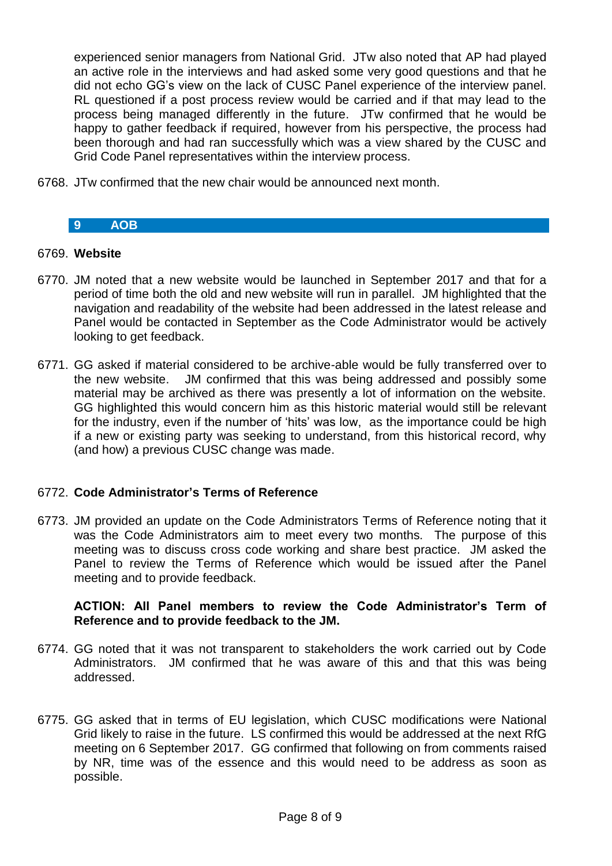experienced senior managers from National Grid. JTw also noted that AP had played an active role in the interviews and had asked some very good questions and that he did not echo GG's view on the lack of CUSC Panel experience of the interview panel. RL questioned if a post process review would be carried and if that may lead to the process being managed differently in the future. JTw confirmed that he would be happy to gather feedback if required, however from his perspective, the process had been thorough and had ran successfully which was a view shared by the CUSC and Grid Code Panel representatives within the interview process.

6768. JTw confirmed that the new chair would be announced next month.

# **9 AOB**

### 6769. **Website**

- 6770. JM noted that a new website would be launched in September 2017 and that for a period of time both the old and new website will run in parallel. JM highlighted that the navigation and readability of the website had been addressed in the latest release and Panel would be contacted in September as the Code Administrator would be actively looking to get feedback.
- 6771. GG asked if material considered to be archive-able would be fully transferred over to the new website. JM confirmed that this was being addressed and possibly some material may be archived as there was presently a lot of information on the website. GG highlighted this would concern him as this historic material would still be relevant for the industry, even if the number of 'hits' was low, as the importance could be high if a new or existing party was seeking to understand, from this historical record, why (and how) a previous CUSC change was made.

# 6772. **Code Administrator's Terms of Reference**

6773. JM provided an update on the Code Administrators Terms of Reference noting that it was the Code Administrators aim to meet every two months. The purpose of this meeting was to discuss cross code working and share best practice. JM asked the Panel to review the Terms of Reference which would be issued after the Panel meeting and to provide feedback.

# **ACTION: All Panel members to review the Code Administrator's Term of Reference and to provide feedback to the JM.**

- 6774. GG noted that it was not transparent to stakeholders the work carried out by Code Administrators. JM confirmed that he was aware of this and that this was being addressed.
- 6775. GG asked that in terms of EU legislation, which CUSC modifications were National Grid likely to raise in the future. LS confirmed this would be addressed at the next RfG meeting on 6 September 2017. GG confirmed that following on from comments raised by NR, time was of the essence and this would need to be address as soon as possible.